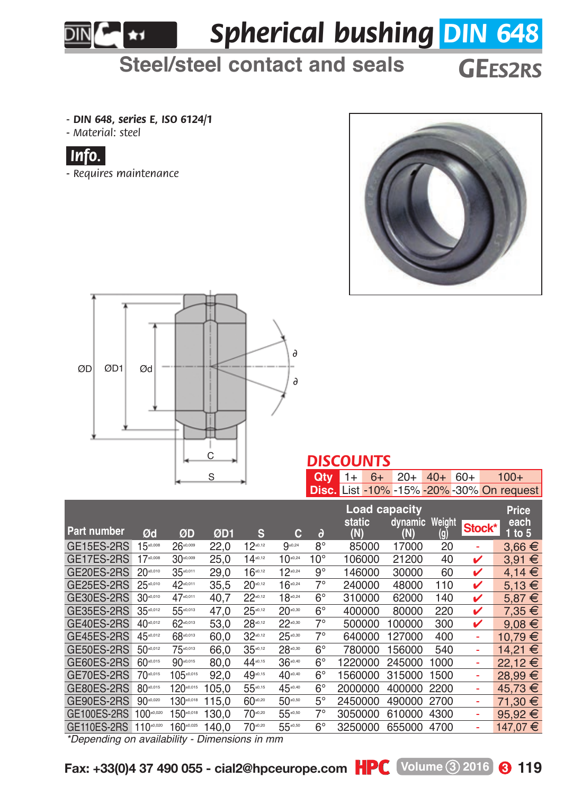*Spherical bushing DIN 648*

## **Steel/steel contact and seals** *GEES2RS*

*- DIN 648, series E, ISO 6124/1*

£ekt ∣

*- Material: steel*



*- Requires maintenance*





## *DISCOUNTS*

**Qty** 1+ 6+ 20+ 40+ 60+ 100+ **Disc.** List -10% -15% -20% -30% On request

|                    |                     |               |             |               |              |              | Load capacity |                       |      |        | Price            |
|--------------------|---------------------|---------------|-------------|---------------|--------------|--------------|---------------|-----------------------|------|--------|------------------|
| <b>Part number</b> | Ød                  | ØD            | ØD1         | s             | с            | $\partial$   | static<br>(N) | dynamic Weight<br>(N) | (g)  | Stock* | each<br>$1$ to 5 |
| GE15ES-2RS         | $15^{40,008}$       | $26 - 0.009$  | 22.0        | $12^{40,12}$  | $9^{10.24}$  | $8^{\circ}$  | 85000         | 17000                 | 20   | ٠      | $3.66 \in$       |
| GE17ES-2RS         | $17 - 0.008$        | $30 - 0.009$  | 25.0        | $14 - 12$     | $10^{10,24}$ | $10^{\circ}$ | 106000        | 21200                 | 40   | ✓      | $3.91 \in$       |
| GE20ES-2RS         | $20 - 0.010$        | 35-0.011      | 29.0        | $16^{40,12}$  | $12^{40,24}$ | 9°           | 146000        | 30000                 | 60   | ✓      | $4.14 \in$       |
| GE25ES-2RS         | 25-0.010            | 42.0.011      | 35.5        | $20 - 12$     | $16^{40,24}$ | $7^\circ$    | 240000        | 48000                 | 110  | ✓      | $5.13 \in$       |
| GE30ES-2RS         | 30 <sub>0.010</sub> | 4740.011      | 40.7        | $22^{a_{12}}$ | $18 - 24$    | $6^{\circ}$  | 310000        | 62000                 | 140  | ✓      | $5.87 \in$       |
| GE35ES-2RS         | $35^{40,012}$       | 55*0.013      | 47.0        | $25^{40.12}$  | $20^{40,30}$ | $6^{\circ}$  | 400000        | 80000                 | 220  | ✓      | 7.35 €           |
| GE40ES-2RS         | $40^{40.012}$       | 62*0.013      | 53.0        | $28^{40.12}$  | $22^{10,20}$ | $7^\circ$    | 500000        | 100000                | 300  | ✓      | $9.08 \in$       |
| GE45ES-2RS         | 45-0.012            | 68*0.013      | 60.0        | $32^{40.12}$  | $25^{40,30}$ | $7^\circ$    | 640000        | 127000                | 400  | ٠      | 10.79 €          |
| GE50ES-2RS         | 50-0.012            | 75.0.013      | 66.0        | $35^{6.12}$   | 28-0.30      | $6^{\circ}$  | 780000        | 156000                | 540  | ٠      | 14.21 €          |
| GE60ES-2RS         | 60-0.015            | 90-0.015      | 80.0        | 44-0.15       | $36^{40,40}$ | $6^{\circ}$  | 1220000       | 245000                | 1000 | ٠      | 22.12€           |
| GE70ES-2RS         | 70-0.015            | $105 - 0.015$ | 92.0        | 49-0.15       | 40.40        | $6^{\circ}$  | 1560000       | 315000                | 1500 | ٠      | 28.99 €          |
| GE80ES-2RS         | 80-0.015            | 120-0.015     | 105.0       | 55-0.15       | 45.0.40      | $6^{\circ}$  | 2000000       | 400000                | 2200 | ٠      | 45.73 €          |
| GE90ES-2RS         | 90 - 020            | 130-0.018     | 115.0       | $60^{0.20}$   | 50-0.50      | $5^{\circ}$  | 2450000       | 490000                | 2700 | ٠      | 71.30 €          |
| GE100ES-2RS        | $100^{40,000}$      | 150-0.018     | 130.0       | $70^{42}$     | 55 ***       | $7^\circ$    | 3050000       | 610000                | 4300 | ٠      | 95.92 $\in$      |
| GE110ES-2RS        | 110.000             | 160-0.025     | 140.0<br>-- | $70 - x$      | 55.0.50      | $6^{\circ}$  | 3250000       | 655000                | 4700 | ٠      | 147.07 €         |

*\*Depending on availability - Dimensions in mm*